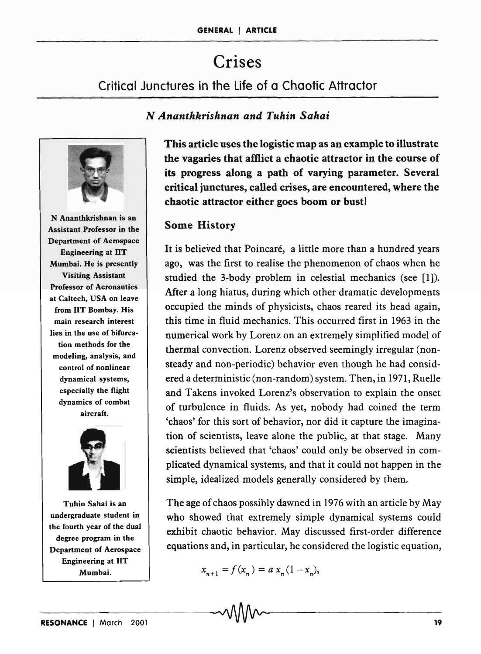# Crises

Critical Junctures in the life of a Chaotic Attractor

#### *N Ananthkrishnan and Tuhin Sahai*



N Ananthkrishnan is an Assistant Professor in the Department of Aerospace Engineering at liT Mumbai. He is presently Visiting Assistant Professor of Aeronautics at Caltech, USA on leave from lIT Bombay. His main research interest lies in the use of bifurcation methods for the modeling, analysis, and control of nonlinear dynamical systems, especially the flight dynamics of combat aircraft.



Tuhin Sahai is an undergraduate student in the fourth year of the dual degree program in the Department of Aerospace Engineering at liT Mumbai.

This article uses the logistic map as an example to illustrate the vagaries that affiict a chaotic attractor in the course of its progress along a path of varying parameter. Several critical junctures, called crises, are encountered, where the chaotic attractor either goes boom or bust!

# Some History

It is believed that Poincaré, a little more than a hundred years ago, was the first to realise the phenomenon of chaos when he studied the 3-body problem in celestial mechanics (see [1]). After a long hiatus, during which other dramatic developments occupied the minds of physicists, chaos reared its head again, this time in fluid mechanics. This occurred first in 1963 in the numerical work by Lorenz on an extremely simplified model of thermal convection. Lorenz observed seemingly irregular (nonsteady and non-periodic) behavior even though he had considered a deterministic (non-random) system. Then, in 1971, Ruelle and Takens invoked Lorenz's observation to explain the onset of turbulence in fluids. As yet, nobody had coined the term 'chaos' for this sort of behavior, nor did it capture the imagination of scientists, leave alone the public, at that stage. Many scientists believed that 'chaos' could only be observed in complicated dynamical systems, and that it could not happen in the simple, idealized models generally considered by them.

The age of chaos possibly dawned in 1976 with an article by May who showed that extremely simple dynamical systems could exhibit chaotic behavior. May discussed first-order difference equations and, in particular, he considered the logistic equation,

 $x_{n+1} = f(x_n) = a x_n (1 - x_n),$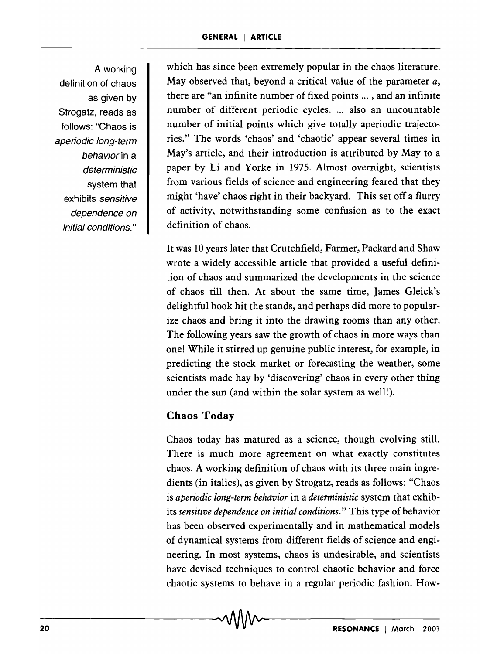A working definition of chaos as given by Strogatz, reads as follows: "Chaos is aperiodic long-term behavior in a deterministic system that exhibits sensitive dependence on initial conditions."

which has since been extremely popular in the chaos literature. May observed that, beyond a critical value of the parameter *a,*  there are "an infinite number of fixed points ..., and an infinite number of different periodic cycles. ... also an uncountable number of initial points which give totally aperiodic trajectories." The words 'chaos' and 'chaotic' appear several times in May's article, and their introduction is attributed by May to a paper by Li and Yorke in 1975. Almost overnight, scientists from various fields of science and engineering feared that they might 'have' chaos right in their backyard. This set off a flurry of activity, notwithstanding some confusion as to the exact definition of chaos.

It was 10 years later that Crutchfield, Farmer, Packard and Shaw wrote a widely accessible article that provided a useful definition of chaos and summarized the developments in the science of chaos till then. At about the same time, James Gleick's delightful book hit the stands, and perhaps did more to popularize chaos and bring it into the drawing rooms than any other. The following years saw the growth of chaos in more ways than one! While it stirred up genuine public interest, for example, in predicting the stock market or forecasting the weather, some scientists made hay by 'discovering' chaos in every other thing under the sun (and within the solar system as well!).

# **Chaos Today**

-20-------------------------------~-------------------------------

Chaos today has matured as a science, though evolving still. There is much more agreement on what exactly constitutes chaos. A working definition of chaos with its three main ingredients (in italics), as given by Strogatz, reads as follows: "Chaos is *aperiodic long-term behavior* in a *deterministic* system that exhibits *sensitive dependence on initial conditions."* This type of behavior has been observed experimentally and in mathematical models of dynamical systems from different fields of science and engineering. In most systems, chaos is undesirable, and scientists have devised techniques to control chaotic behavior and force chaotic systems to behave in a regular periodic fashion. How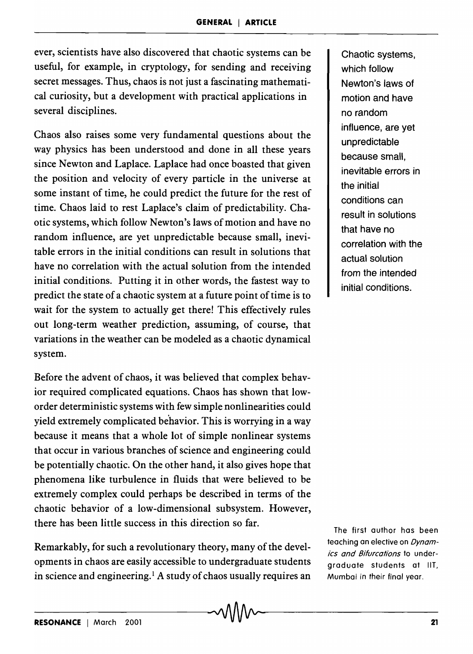ever, scientists have also discovered that chaotic systems can be useful, for example, in cryptology, for sending and receiving secret messages. Thus, chaos is not just a fascinating mathematical curiosity, but a development with practical applications in several disciplines.

Chaos also raises some very fundamental questions about the way physics has been understood and done in all these years since Newton and Laplace. Laplace had once boasted that given the position and velocity of every particle in the universe at some instant of time, he could predict the future for the rest of time. Chaos laid to rest Laplace's claim of predictability. Chaotic systems, which follow Newton's laws of motion and have no random influence, are yet unpredictable because small, inevitable errors in the initial conditions can result in solutions that have no correlation with the actual solution from the intended initial conditions. Putting it in other words, the fastest way to predict the state of a chaotic system at a future point of time is to wait for the system to actually get there! This effectively rules out long-term weather prediction, assuming, of course, that variations in the weather can be modeled as a chaotic dynamical system.

Before the advent of chaos, it was believed that complex behavior required complicated equations. Chaos has shown that loworder deterministic systems with few simple nonlinearities could yield extremely complicated behavior. This is worrying in a way because it means that a whole lot of simple nonlinear systems that occur in various branches of science and engineering could be potentially chaotic. On the other hand, it also gives hope that phenomena like turbulence in fluids that were believed to be extremely complex could perhaps be described in terms of the chaotic behavior of a low-dimensional subsystem. However, there has been little success in this direction so far.

Remarkably, for such a revolutionary theory, many of the developments in chaos are easily accessible to undergraduate students in science and engineering.<sup>1</sup> A study of chaos usually requires an

Chaotic systems, which follow Newton's laws of motion and have no random influence, are yet unpredictable because small, inevitable errors in the initial conditions can result in solutions that have no correlation with the actual solution from the intended initial conditions.

The first author has been teaching an elective on Dynamics and Bifurcations to undergraduate students at liT, Mumbai in their final year.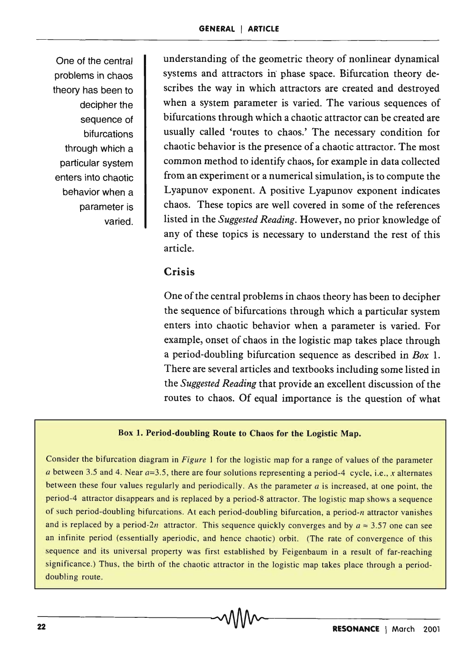One of the central problems in chaos theory has been to decipher the sequence of bifurcations through which a particular system enters into chaotic behavior when a parameter is varied.

understanding of the geometric theory of nonlinear dynamical systems and attractors in phase space. Bifurcation theory describes the way in which attractors are created and destroyed when a system parameter is varied. The various sequences of bifurcations through which a chaotic attractor can be created are usually called 'routes to chaos.' The necessary condition for chaotic behavior is the presence of a chaotic attractor. The most common method to identify chaos, for example in data collected from an experiment or a numerical simulation, is to compute the Lyapunov exponent. A positive Lyapunov exponent indicates chaos. These topics are well covered in some of the references listed in the *Suggested Reading.* However, no prior knowledge of any of these topics is necessary to understand the rest of this article.

# **Crisis**

One of the central problems in chaos theory has been to decipher the sequence of bifurcations through which a particular system enters into chaotic behavior when a parameter is varied. For example, onset of chaos in the logistic map takes place through a period-doubling bifurcation sequence as described in *Box 1.*  There are several articles and textbooks including some listed in the *Suggested Reading* that provide an excellent discussion of the routes to chaos. Of equal importance is the question of what

#### Box 1. Period-doubling Route to Chaos for the Logistic Map.

Consider the bifurcation diagram in *Figure* 1 for the logistic map for a range of values of the parameter *a* between 3.5 and 4. Near *a=3.5,* there are four solutions representing a period-4 cycle, i.e., *x* alternates between these four values regularly and periodically. As the parameter *a* is increased, at one point, the period-4 attractor disappears and is replaced by a period-8 attractor. The logistic map shows a sequence of such period-doubling bifurcations. At each period-doubling bifurcation, a period-n attractor vanishes and is replaced by a period-2n attractor. This sequence quickly converges and by  $a \approx 3.57$  one can see an infinite period (essentially aperiodic, and hence chaotic) orbit. (The rate of convergence of this sequence and its universal property was first established by Feigenbaum in a result of far-reaching significance.) Thus, the birth of the chaotic attractor in the logistic map takes place through a perioddoubling route.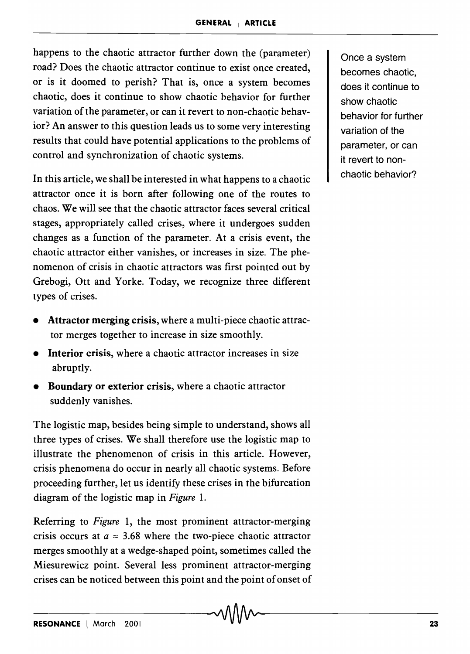happens to the chaotic attractor further down the (parameter) road? Does the chaotic attractor continue to exist once created, or is it doomed to perish? That is, once a system becomes chaotic, does it continue to show chaotic behavior for further variation of the parameter, or can it revert to non-chaotic behavior? An answer to this question leads us to some very interesting results that could have potential applications to the problems of control and synchronization of chaotic systems.

. In this article, we shall be interested in what happens to a chaotic attractor once it is born after following one of the routes to chaos. We will see that the chaotic attractor faces several critical stages, appropriately called crises, where it undergoes sudden changes as a function of the parameter. At a crisis event, the chaotic attractor either vanishes, or increases in size. The phenomenon of crisis in chaotic attractors was first pointed out by Grebogi, Ott and Yorke. Today, we recognize three different types of crises.

- Attractor merging crisis, where a multi-piece chaotic attractor merges together to increase in size smoothly.
- Interior crisis, where a chaotic attractor increases in size abruptly.
- Boundary or exterior crisis, where a chaotic attractor suddenly vanishes.

The logistic map, besides being simple to understand, shows all three types of crises. We shall therefore use the logistic map to illustrate the phenomenon of crisis in this article. However, crisis phenomena do occur in nearly all chaotic systems. Before proceeding further, let us identify these crises in the bifurcation diagram of the logistic map in *Figure 1.* 

Referring to *Figure* 1, the most prominent attractor-merging crisis occurs at  $a \approx 3.68$  where the two-piece chaotic attractor merges smoothly at a wedge-shaped point, sometimes called the Miesurewicz point. Several less prominent attractor-merging crises can be noticed between this point and the point of onset of

Once a system becomes chaotic, does it continue to show chaotic behavior for further variation of the parameter, or can it revert to nonchaotic behavior?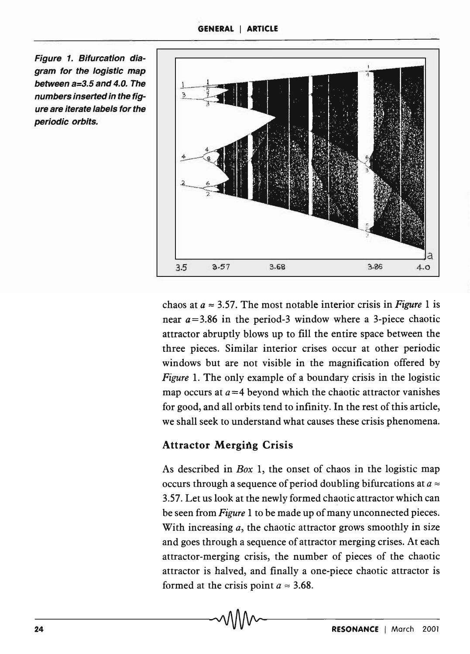Figure 1. Bifurcation diagram for the logistic map between a=3.5 and 4.0. The numbers inserted in the figure are iterate labels for the periodic orbits.



chaos at  $a \approx 3.57$ . The most notable interior crisis in *Figure* 1 is near *a=3.86* in the period-3 window where a 3-piece chaotic attractor abruptly blows up to fill the entire space between the three pieces. Similar interior crises occur at other periodic windows but are not visible in the magnification offered by *Figure* 1. The only example of a boundary crisis in the logistic map occurs at  $a=4$  beyond which the chaotic attractor vanishes for good, and all orbits tend to infinity. In the rest of this article, we shall seek to understand what causes these crisis phenomena.

# Attractor Merging Crisis

As described in *Box* 1, the onset of chaos in the logistic map occurs through a sequence of period doubling bifurcations at  $a \approx$ 3.57. Let us look at the newly formed chaotic attractor which can be seen from *Figure* 1 to be made up of many unconnected pieces. With increasing *a*, the chaotic attractor grows smoothly in size and goes through a sequence of attractor merging crises. At each attractor-merging crisis, the number of pieces of the chaotic attractor is halved, and finally a one-piece chaotic attractor is formed at the crisis point  $a \approx 3.68$ .

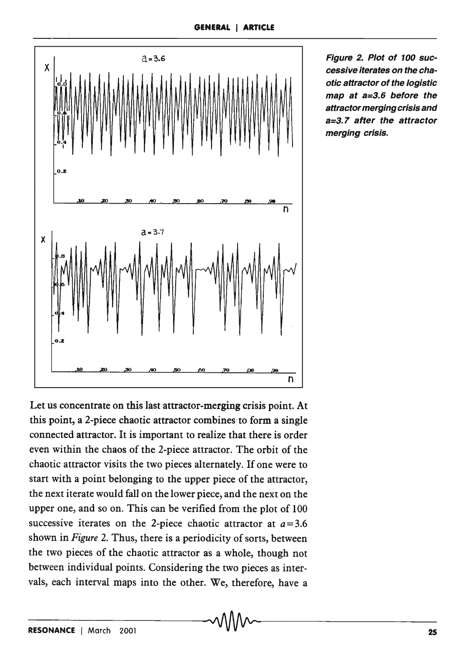

Figure 2. Plot of 100 successive iterates on the chaotic attractor of the logistic map at a=3.6 before the attractor merging crisis and a=3.7 after the attractor merging crisis.

Let us concentrate on this last attractor-merging crisis point. At this point, a 2-piece chaotic attractor combines to form a single connected attractor. It is important to realize that there is order even within the chaos of the 2-piece attractor. The orbit of the chaotic attractor visits the two pieces alternately. If one were to start with a point belonging to the upper piece of the attractor, the next iterate would fall on the lower piece, and the next on the upper one, and so on. This can be verified from the plot of 100 successive iterates on the 2-piece chaotic attractor at  $a = 3.6$ shown in *Figure* 2. Thus, there is a periodicity of sorts, between the two pieces of the chaotic attractor as a whole, though not between individual points. Considering the two pieces as intervals, each interval maps into the other. We, therefore, have a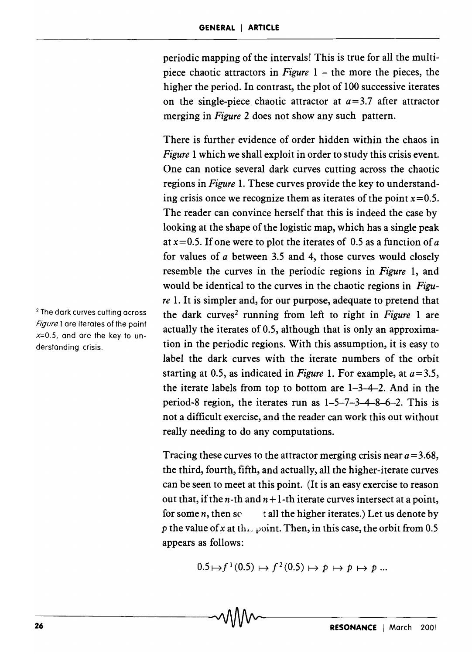periodic mapping of the intervals! This is true for all the multipiece chaotic attractors in *Figure* 1 – the more the pieces, the higher the period. In contrast, the plot of 100 successive iterates on the single-piece. chaotic attractor at *a=3.7* after attractor merging in *Figure* 2 does not show any such pattern.

There is further evidence of order hidden within the chaos in *Figure* 1 which we shall exploit in order to study this crisis event. One can notice several dark curves cutting across the chaotic regions in *Figure* 1. These curves provide the key to understanding crisis once we recognize them as iterates of the point  $x=0.5$ . The reader can convince herself that this is indeed the case by looking at the shape of the logistic map, which has a single peak at *x=O.S.* If one were to plot the iterates of 0.5 as a function of *a*  for values of *a* between 3.5 and 4, those curves would closely resemble the curves in the periodic regions in *Figure* 1, and would be identical to the curves in the chaotic regions in *Figure* 1. It is simpler and, for our purpose, adequate to pretend that the dark curves2 running from left to right in *Figure* I are actually the iterates of 0.5, although that is only an approximation in the periodic regions. With this assumption, it is easy to label the dark curves with the iterate numbers of the orbit starting at 0.5, as indicated in *Figure 1*. For example, at  $a = 3.5$ , the iterate labels from top to bottom are 1-3-4-2. And in the period-8 region, the iterates run as 1-5-7-3-4-8-6-2. This is not a difficult exercise, and the reader can work this out without really needing to do any computations.

Tracing these curves to the attractor merging crisis near  $a = 3.68$ , the third, fourth, fifth, and actually, all the higher-iterate curves can be seen to meet at this point. (It is an easy exercise to reason out that, if the *n*-th and  $n+1$ -th iterate curves intersect at a point, for some  $n$ , then  $\sec$  t all the higher iterates.) Let us denote by p the value of x at the point. Then, in this case, the orbit from 0.5 appears as follows:

$$
0.5 \mapsto f^1(0.5) \mapsto f^2(0.5) \mapsto p \mapsto p \mapsto p \dots
$$

2 The dark curves cutting across Figure 1 are iterates of the point  $x=0.5$ , and are the key to understanding crisis.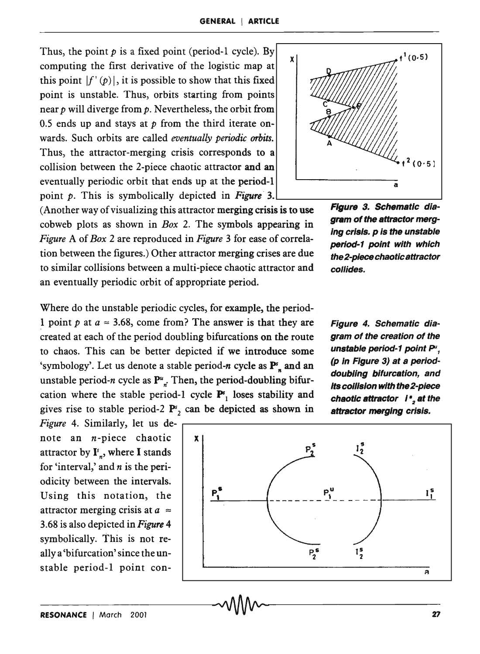Thus, the point  $p$  is a fixed point (period-1 cycle). By computing the first derivative of the logistic map at this point  $|f'(\rho)|$ , it is possible to show that this fixed point is unstable. Thus, orbits starting from points near  $p$  will diverge from  $p$ . Nevertheless, the orbit from 0.5 ends up and stays at *p* from the third iterate onwards. Such orbits are called *eventually periodic orbits.*  Thus, the attractor-merging crisis corresponds to a collision between the 2-piece chaotic attractor and an eventually periodic orbit that ends up at the period-l point *p*. This is symbolically depicted in *Figure* 3.



collides.

(Another way of visualizing this attractor merging crisis is to use cobweb plots as shown in *Box* 2. The symbols appearing in *Figure* A of *Box* 2 are reproduced in *Figure* 3 for ease of correlation between the figures.) Other attractor merging crises are due to similar collisions between a multi-piece chaotic attractor and an eventually periodic orbit of appropriate period.

Where do the unstable periodic cycles, for example, the period- 1 point p at  $a \approx 3.68$ , come from? The answer is that they are created at each of the period doubling bifurcations on the route to chaos. This can be better depicted if we introduce some 'symbology'. Let us denote a stable period-n cycle as  $\mathbf{P}_{\mathbf{x}}^{\mathbf{s}}$  and an unstable period-n cycle as  $P^u_{r}$ . Then, the period-doubling bifurcation where the stable period-1 cycle  $P_{1}^{s}$  loses stability and gives rise to stable period-2  $\mathbf{P}^s$ , can be depicted as shown in

Figure 4. Schematic diagram of the creation of the unstable period-1 point P<sup>u</sup>, (p in Figure 3) at a perioddoubling bifurcation, and its collision with the 2-piece chaotic attractor  $i^*$ , at the attractor merging crisis.

gram of the attractor merging crisis. p is the unstable period-1 point with which the 2-piece chaotic attractor



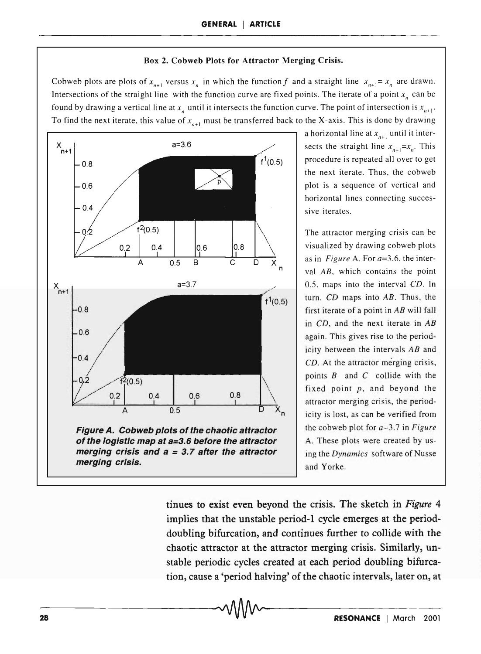#### Box 2. Cobweb Plots for Attractor Merging Crisis.

Cobweb plots are plots of  $x_{n+1}$  versus  $x_n$  in which the function f and a straight line  $x_{n+1} = x_n$  are drawn. Intersections of the straight line with the function curve are fixed points. The iterate of a point  $x_n$  can be found by drawing a vertical line at  $x_n$  until it intersects the function curve. The point of intersection is  $x_{n+1}$ . To find the next iterate, this value of  $x_{n+1}$  must be transferred back to the X-axis. This is done by drawing



a horizontal line at  $x_{n+1}$  until it intersects the straight line  $x_{n+1} = x_n$ . This procedure is repeated all over to get the next iterate. Thus, the cobweb plot is a sequence of vertical and horizontal lines connecting successive iterates.

The attractor merging crisis can be visualized by drawing cobweb plots as in *Figure* A. For *a=3.6,* the interval *AB,* which contains the point 0.5, maps into the interval *CD.* In turn, CD maps into *AB.* Thus, the first iterate of a point in *AB* will fall in *CD,* and the next iterate in *AB*  again. This gives rise to the periodicity between the intervals *AB* and *CD.* At the attractor merging crisis, points  $B$  and  $C$  collide with the fixed point  $p$ , and beyond the attractor merging crisis, the periodicity is lost, as can be verified from the cobweb plot for *a=3.7* in *Figure*  A. These plots were created by using the *Dynamics* software of Nusse and Yorke.

tinues to exist even beyond the crisis. The sketch in *Figure 4*  implies that the unstable period-l cycle emerges at the perioddoubling bifurcation, and continues further to collide with the chaotic attractor at the attractor merging crisis. Similarly, unstable periodic cycles created at each period doubling bifurcation, cause a 'period halving' of the chaotic intervals, later on, at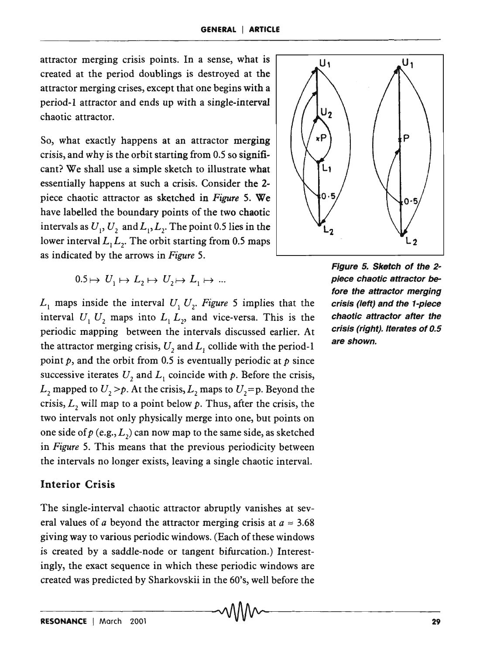attractor merging crisis points. In a sense, what is created at the period doublings is destroyed at the attractor merging crises, except that one begins with a period-l attractor and ends up with a single-interval chaotic attractor.

So, what exactly happens at an attractor merging crisis, and why is the orbit starting from 0.5 so significant? We shall use a simple sketch to illustrate what essentially happens at such a crisis. Consider the 2 piece chaotic attractor as sketched in *Figure* S. We have labelled the boundary points of the two chaotic intervals as  $U_1, U_2$  and  $L_1, L_2$ . The point 0.5 lies in the lower interval  $L_1 L_2$ . The orbit starting from 0.5 maps as indicated by the arrows in *Figure* 5.

 $0.5 \mapsto U_1 \mapsto L_2 \mapsto U_2 \mapsto L_1 \mapsto ...$ 

 $L_1$  maps inside the interval  $U_1 U_2$ . Figure 5 implies that the interval  $U_1 U_2$  maps into  $L_1 L_2$ , and vice-versa. This is the periodic mapping between the intervals discussed earlier. At the attractor merging crisis,  $U_2$  and  $L_1$  collide with the period-1 point  $p$ , and the orbit from 0.5 is eventually periodic at  $p$  since successive iterates  $U_2$  and  $L_1$  coincide with  $p$ . Before the crisis,  $L_2$  mapped to  $U_2 > p$ . At the crisis,  $L_2$  maps to  $U_2 = p$ . Beyond the crisis,  $L<sub>2</sub>$  will map to a point below  $p$ . Thus, after the crisis, the two intervals not only physically merge into one, but points on one side of  $p$  (e.g.,  $L_2$ ) can now map to the same side, as sketched in *Figure* S. This means that the previous periodicity between the intervals no longer exists, leaving a single chaotic interval.

### Interior Crisis

The single-interval chaotic attractor abruptly vanishes at several values of *a* beyond the attractor merging crisis at  $a \approx 3.68$ giving way to various periodic windows. (Each of these windows is created by a saddle-node or tangent bifurcation.) Interestingly, the exact sequence in which these periodic windows are created was predicted by Sharkovskii in the 60's, well before the



Figure 5. Sketch of the 2 piece chaotic attractor before the attractor merging crisis (left) and the 1-piece chaotic attractor after the crisis (right). Iterates of 0.5 are shown.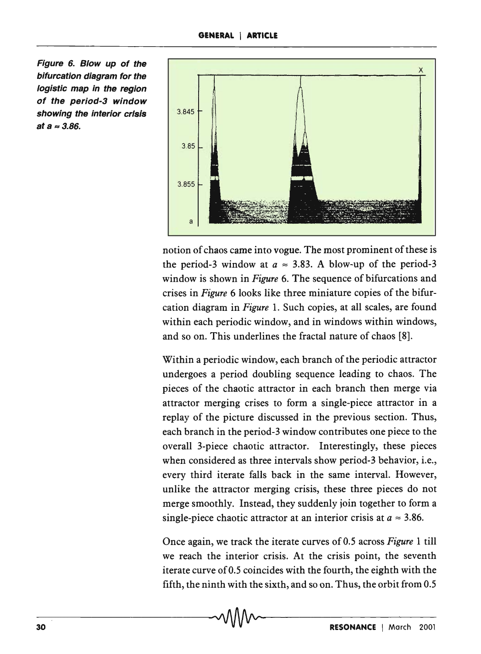Figure 6. Blow up of the bifurcation diagram for the logistic map in the region of the period-3 window showing the interior crisis *3.845*  at  $a \approx 3.86$ .



notion of chaos came into vogue. The most prominent of these is the period-3 window at  $a \approx 3.83$ . A blow-up of the period-3 window is shown in *Figure* 6. The sequence of bifurcations and crises in *Figure* 6 looks like three miniature copies of the bifurcation diagram in *Figure* 1. Such copies, at all scales, are found within each periodic window, and in windows within windows, and so on. This underlines the fractal nature of chaos [8].

Within a periodic window, each branch of the periodic attractor undergoes a period doubling sequence leading to chaos. The pieces of the chaotic attractor in each branch then merge via attractor merging crises to form a single-piece attractor in a replay of the picture discussed in the previous section. Thus, each branch in the period-3 window contributes one piece to the overall 3-piece chaotic attractor. Interestingly, these pieces when considered as three intervals show period-3 behavior, i.e., every third iterate falls back in the same interval. However, unlike the attractor merging crisis, these three pieces do not merge smoothly. Instead, they suddenly join together to form a single-piece chaotic attractor at an interior crisis at  $a \approx 3.86$ .

Once again, we track the iterate curves of 0.5 across *Figure* 1 till we reach the interior crisis. At the crisis point, the seventh iterate curve of 0.5 coincides with the fourth, the eighth with the fifth, the ninth with the sixth, and so on. Thus, the orbit from 0.5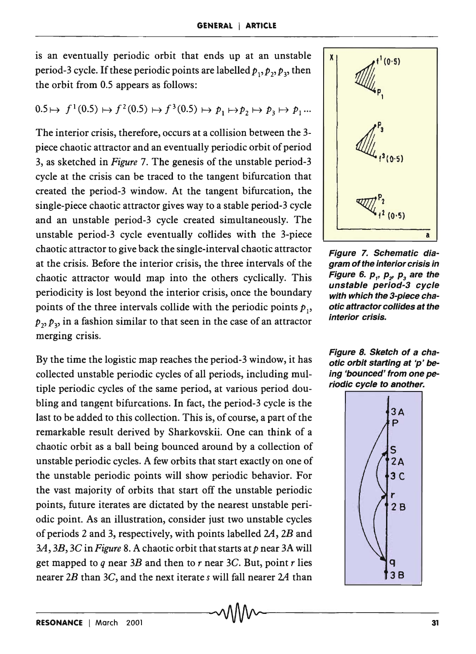is an eventually periodic orbit that ends up at an unstable period-3 cycle. If these periodic points are labelled  $p_1, p_2, p_3$ , then the orbit from 0.5 appears as follows:

$$
0.5 \mapsto f^1(0.5) \mapsto f^2(0.5) \mapsto f^3(0.5) \mapsto p_1 \mapsto p_2 \mapsto p_3 \mapsto p_1 \dots
$$

The interior crisis, therefore, occurs at a collision between the 3 piece chaotic attractor and an eventually periodic orbit of period 3, as sketched in *Figure* 7. The genesis of the unstable period-3 cycle at the crisis can be traced to the tangent bifurcation that created the period-3 window. At the tangent bifurcation, the single-piece chaotic attractor gives way to a stable period-3 cycle and an unstable period-3 cycle created simultaneously. The unstable period-3 cycle eventually collides with the 3-piece chaotic attractor to give back the single-interval chaotic attractor at the crisis. Before the interior crisis, the three intervals of the chaotic attractor would map into the others cyclically. This periodicity is lost beyond the interior crisis, once the boundary points of the three intervals collide with the periodic points  $p_1$ ,  $p_2$ ,  $p_3$ , in a fashion similar to that seen in the case of an attractor merging crisis.

By the time the logistic map reaches the period-3 window, it has collected unstable periodic cycles of all periods, including multiple periodic cycles of the same period, at various period doubling and tangent bifurcations. In fact, the period-3 cycle is the last to be added to this collection. This is, of course, a part of the remarkable result derived by Sharkovskii. One can think of a chaotic orbit as a ball being bounced around by a collection of unstable periodic cycles. A few orbits that start exactly on one of the unstable periodic points will show periodic behavior. For the vast majority of orbits that start off the unstable periodic points, future iterates are dictated by the nearest unstable periodic point. As an illustration, consider just two unstable cycles of periods 2 and 3, respectively, with points labelled 24, *2B* and *3A, 3B,* 3C in *Figure* 8. A chaotic orbit that starts *atp* near 3A will get mapped to *q* near *3B* and then to *r* near *3C.* But, point *r* lies nearer *2B* than *3C,* and the next iterate *s* will fall nearer *2A* than



Figure 7. Schematic diagram of the interior crisis in Figure 6.  $p_{1}$ ,  $p_{2}$ ,  $p_{3}$  are the unstable period-3 cycle with which the 3-piece chaotic attractor collides at the interior crisis.



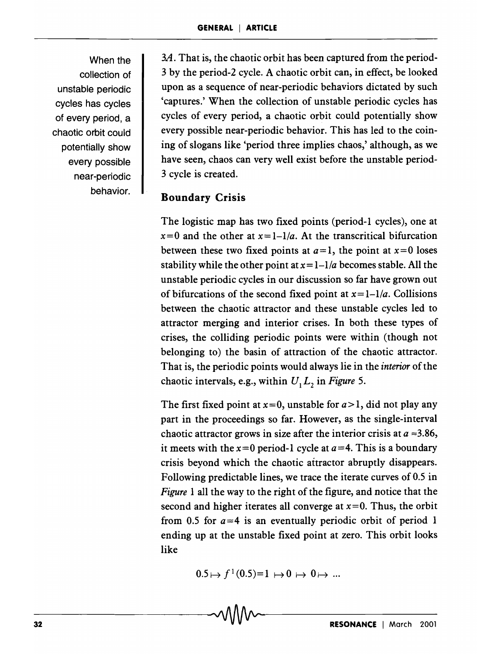When the collection of unstable periodic cycles has cycles of every period, a chaotic orbit could potentially show every possible near -periodic behavior.

*3A.* That is, the chaotic orbit has been captured from the period-3 by the period-2 cycle. A chaotic orbit can, in effect, be looked upon as a sequence of near-periodic behaviors dictated by such 'captures.' When the collection of unstable periodic cycles has cycles of every period, a chaotic orbit could potentially show every possible near-periodic behavior. This has led to the coining of slogans like 'period three implies chaos,' although, as we have seen, chaos can very well exist before the unstable period-3 cycle is created.

#### Boundary Crisis

The logistic map has two fixed points (period-l cycles), one at  $x=0$  and the other at  $x=1-1/a$ . At the transcritical bifurcation between these two fixed points at  $a=1$ , the point at  $x=0$  loses stability while the other point at  $x=1-1/a$  becomes stable. All the unstable periodic cycles in our discussion so far have grown out of bifurcations of the second fixed point at  $x=1-1/a$ . Collisions between the chaotic attractor and these unstable cycles led to attractor merging and interior crises. In both these types of crises, the colliding periodic points were within (though not belonging to) the basin of attraction of the chaotic attractor. That is, the periodic points would always lie in the *interior* of the chaotic intervals, e.g., within  $U_1 L_2$  in *Figure* 5.

The first fixed point at  $x=0$ , unstable for  $a>1$ , did not play any part in the proceedings so far. However, as the single-interval chaotic attractor grows in size after the interior crisis at  $a \approx 3.86$ , it meets with the  $x=0$  period-1 cycle at  $a=4$ . This is a boundary crisis beyond which the chaotic aitractor abruptly disappears. Following predictable lines, we trace the iterate curves of 0.5 in *Figure* 1 all the way to the right of the figure, and notice that the second and higher iterates all converge at  $x=0$ . Thus, the orbit from 0.5 for  $a=4$  is an eventually periodic orbit of period 1 ending up at the unstable fixed point at zero. This orbit looks like

$$
0.5 \mapsto f^1(0.5)=1 \mapsto 0 \mapsto 0 \mapsto \dots
$$